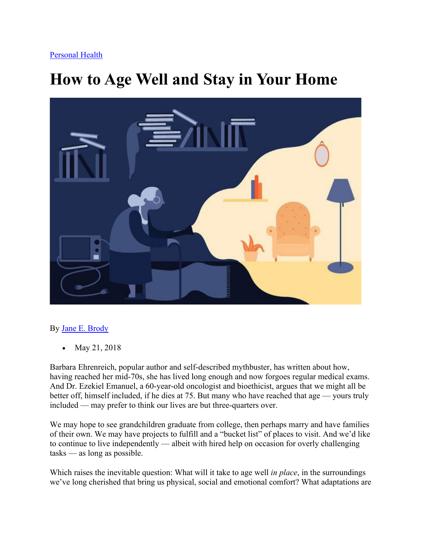## [Personal Health](https://www.nytimes.com/column/personal-health)

## **How to Age Well and Stay in Your Home**



## By [Jane E. Brody](http://www.nytimes.com/by/jane-e-brody)

• May 21, 2018

Barbara Ehrenreich, popular author and self-described mythbuster, has written about how, having reached her mid-70s, she has lived long enough and now forgoes regular medical exams. And Dr. Ezekiel Emanuel, a 60-year-old oncologist and bioethicist, argues that we might all be better off, himself included, if he dies at 75. But many who have reached that age — yours truly included — may prefer to think our lives are but three-quarters over.

We may hope to see grandchildren graduate from college, then perhaps marry and have families of their own. We may have projects to fulfill and a "bucket list" of places to visit. And we'd like to continue to live independently — albeit with hired help on occasion for overly challenging tasks — as long as possible.

Which raises the inevitable question: What will it take to age well *in place*, in the surroundings we've long cherished that bring us physical, social and emotional comfort? What adaptations are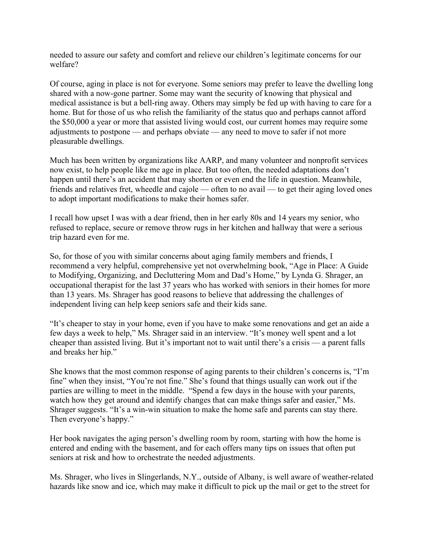needed to assure our safety and comfort and relieve our children's legitimate concerns for our welfare?

Of course, aging in place is not for everyone. Some seniors may prefer to leave the dwelling long shared with a now-gone partner. Some may want the security of knowing that physical and medical assistance is but a bell-ring away. Others may simply be fed up with having to care for a home. But for those of us who relish the familiarity of the status quo and perhaps cannot afford the \$50,000 a year or more that assisted living would cost, our current homes may require some adjustments to postpone — and perhaps obviate — any need to move to safer if not more pleasurable dwellings.

Much has been written by organizations like AARP, and many volunteer and nonprofit services now exist, to help people like me age in place. But too often, the needed adaptations don't happen until there's an accident that may shorten or even end the life in question. Meanwhile, friends and relatives fret, wheedle and cajole — often to no avail — to get their aging loved ones to adopt important modifications to make their homes safer.

I recall how upset I was with a dear friend, then in her early 80s and 14 years my senior, who refused to replace, secure or remove throw rugs in her kitchen and hallway that were a serious trip hazard even for me.

So, for those of you with similar concerns about aging family members and friends, I recommend a very helpful, comprehensive yet not overwhelming book, "Age in Place: A Guide to Modifying, Organizing, and Decluttering Mom and Dad's Home," by Lynda G. Shrager, an occupational therapist for the last 37 years who has worked with seniors in their homes for more than 13 years. Ms. Shrager has good reasons to believe that addressing the challenges of independent living can help keep seniors safe and their kids sane.

"It's cheaper to stay in your home, even if you have to make some renovations and get an aide a few days a week to help," Ms. Shrager said in an interview. "It's money well spent and a lot cheaper than assisted living. But it's important not to wait until there's a crisis — a parent falls and breaks her hip.["](https://www.nytimes.com/2022/06/02/style/condoms-teen-son-social-qs.html?action=click&algo=identity&block=editors_picks_recirc&fellback=false&imp_id=364839470&impression_id=b61ceac0-e350-11ec-9fde-2da1e6599319&index=0&pgtype=Article&pool=editors-picks-ls®ion=ccolumn&req_id=907698201&surface=home-featured&variant=0_identity&action=click&module=editorContent&pgtype=Article®ion=CompanionColumn&contentCollection=Trending)

She knows that the most common response of aging parents to their children's concerns is, "I'm fine" when they insist, "You're not fine." She's found that things usually can work out if the parties are willing to meet in the middle. "Spend a few days in the house with your parents, watch how they get around and identify changes that can make things safer and easier," Ms. Shrager suggests. "It's a win-win situation to make the home safe and parents can stay there. Then everyone's happy."

Her book navigates the aging person's dwelling room by room, starting with how the home is entered and ending with the basement, and for each offers many tips on issues that often put seniors at risk and how to orchestrate the needed adjustments.

Ms. Shrager, who lives in Slingerlands, N.Y., outside of Albany, is well aware of weather-related hazards like snow and ice, which may make it difficult to pick up the mail or get to the street for